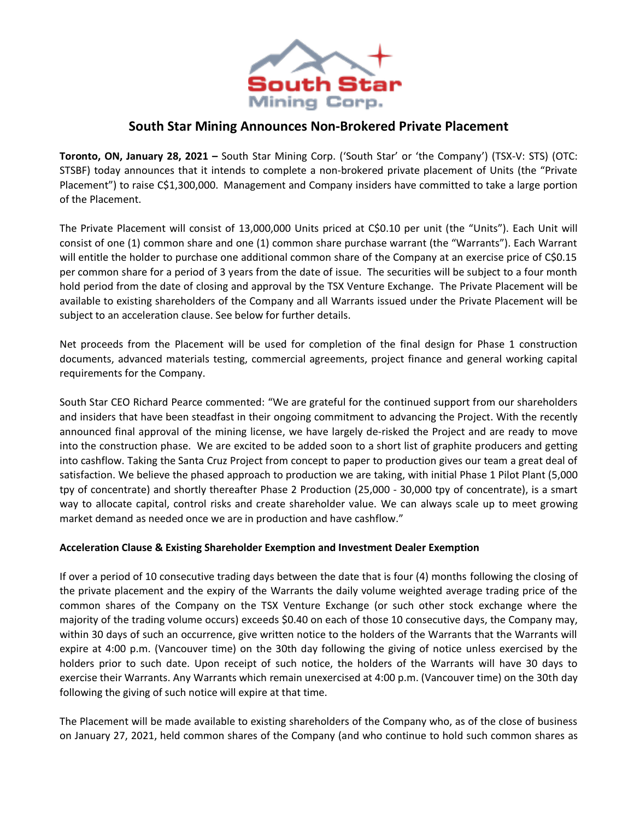

# **South Star Mining Announces Non-Brokered Private Placement**

**Toronto, ON, January 28, 2021 –** South Star Mining Corp. ('South Star' or 'the Company') (TSX-V: STS) (OTC: STSBF) today announces that it intends to complete a non-brokered private placement of Units (the "Private Placement") to raise C\$1,300,000. Management and Company insiders have committed to take a large portion of the Placement.

The Private Placement will consist of 13,000,000 Units priced at C\$0.10 per unit (the "Units"). Each Unit will consist of one (1) common share and one (1) common share purchase warrant (the "Warrants"). Each Warrant will entitle the holder to purchase one additional common share of the Company at an exercise price of C\$0.15 per common share for a period of 3 years from the date of issue. The securities will be subject to a four month hold period from the date of closing and approval by the TSX Venture Exchange. The Private Placement will be available to existing shareholders of the Company and all Warrants issued under the Private Placement will be subject to an acceleration clause. See below for further details.

Net proceeds from the Placement will be used for completion of the final design for Phase 1 construction documents, advanced materials testing, commercial agreements, project finance and general working capital requirements for the Company.

South Star CEO Richard Pearce commented: "We are grateful for the continued support from our shareholders and insiders that have been steadfast in their ongoing commitment to advancing the Project. With the recently announced final approval of the mining license, we have largely de-risked the Project and are ready to move into the construction phase. We are excited to be added soon to a short list of graphite producers and getting into cashflow. Taking the Santa Cruz Project from concept to paper to production gives our team a great deal of satisfaction. We believe the phased approach to production we are taking, with initial Phase 1 Pilot Plant (5,000 tpy of concentrate) and shortly thereafter Phase 2 Production (25,000 - 30,000 tpy of concentrate), is a smart way to allocate capital, control risks and create shareholder value. We can always scale up to meet growing market demand as needed once we are in production and have cashflow."

## **Acceleration Clause & Existing Shareholder Exemption and Investment Dealer Exemption**

If over a period of 10 consecutive trading days between the date that is four (4) months following the closing of the private placement and the expiry of the Warrants the daily volume weighted average trading price of the common shares of the Company on the TSX Venture Exchange (or such other stock exchange where the majority of the trading volume occurs) exceeds \$0.40 on each of those 10 consecutive days, the Company may, within 30 days of such an occurrence, give written notice to the holders of the Warrants that the Warrants will expire at 4:00 p.m. (Vancouver time) on the 30th day following the giving of notice unless exercised by the holders prior to such date. Upon receipt of such notice, the holders of the Warrants will have 30 days to exercise their Warrants. Any Warrants which remain unexercised at 4:00 p.m. (Vancouver time) on the 30th day following the giving of such notice will expire at that time.

The Placement will be made available to existing shareholders of the Company who, as of the close of business on January 27, 2021, held common shares of the Company (and who continue to hold such common shares as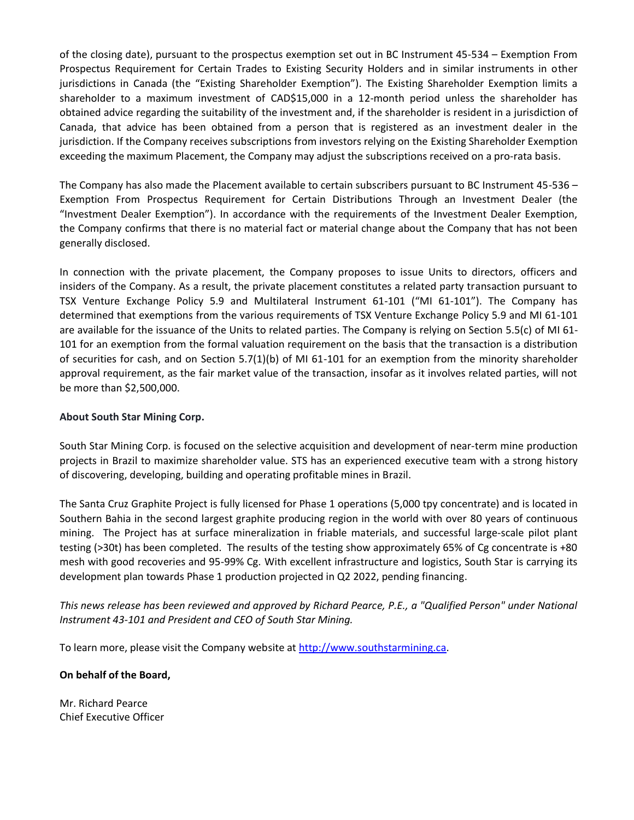of the closing date), pursuant to the prospectus exemption set out in BC Instrument 45-534 – Exemption From Prospectus Requirement for Certain Trades to Existing Security Holders and in similar instruments in other jurisdictions in Canada (the "Existing Shareholder Exemption"). The Existing Shareholder Exemption limits a shareholder to a maximum investment of CAD\$15,000 in a 12-month period unless the shareholder has obtained advice regarding the suitability of the investment and, if the shareholder is resident in a jurisdiction of Canada, that advice has been obtained from a person that is registered as an investment dealer in the jurisdiction. If the Company receives subscriptions from investors relying on the Existing Shareholder Exemption exceeding the maximum Placement, the Company may adjust the subscriptions received on a pro-rata basis.

The Company has also made the Placement available to certain subscribers pursuant to BC Instrument 45-536 – Exemption From Prospectus Requirement for Certain Distributions Through an Investment Dealer (the "Investment Dealer Exemption"). In accordance with the requirements of the Investment Dealer Exemption, the Company confirms that there is no material fact or material change about the Company that has not been generally disclosed.

In connection with the private placement, the Company proposes to issue Units to directors, officers and insiders of the Company. As a result, the private placement constitutes a related party transaction pursuant to TSX Venture Exchange Policy 5.9 and Multilateral Instrument 61-101 ("MI 61-101"). The Company has determined that exemptions from the various requirements of TSX Venture Exchange Policy 5.9 and MI 61-101 are available for the issuance of the Units to related parties. The Company is relying on Section 5.5(c) of MI 61- 101 for an exemption from the formal valuation requirement on the basis that the transaction is a distribution of securities for cash, and on Section 5.7(1)(b) of MI 61-101 for an exemption from the minority shareholder approval requirement, as the fair market value of the transaction, insofar as it involves related parties, will not be more than \$2,500,000.

## **About South Star Mining Corp.**

South Star Mining Corp. is focused on the selective acquisition and development of near-term mine production projects in Brazil to maximize shareholder value. STS has an experienced executive team with a strong history of discovering, developing, building and operating profitable mines in Brazil.

The Santa Cruz Graphite Project is fully licensed for Phase 1 operations (5,000 tpy concentrate) and is located in Southern Bahia in the second largest graphite producing region in the world with over 80 years of continuous mining. The Project has at surface mineralization in friable materials, and successful large-scale pilot plant testing (>30t) has been completed. The results of the testing show approximately 65% of Cg concentrate is +80 mesh with good recoveries and 95-99% Cg. With excellent infrastructure and logistics, South Star is carrying its development plan towards Phase 1 production projected in Q2 2022, pending financing.

*This news release has been reviewed and approved by Richard Pearce, P.E., a "Qualified Person" under National Instrument 43-101 and President and CEO of South Star Mining.*

To learn more, please visit the Company website a[t http://www.southstarmining.ca.](http://www.southstarmining.ca/)

## **On behalf of the Board,**

Mr. Richard Pearce Chief Executive Officer